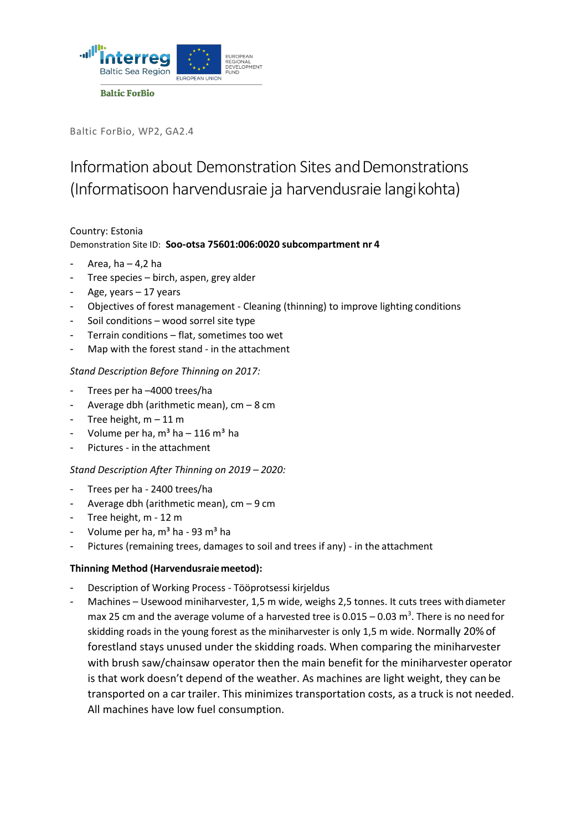

Baltic ForBio, WP2, GA2.4

# Information about Demonstration Sites and Demonstrations (Informatisoon harvendusraie ja harvendusraie langikohta)

## Country: Estonia Demonstration Site ID: **Soo‐otsa 75601:006:0020 subcompartment nr 4**

- Area, ha  $4,2$  ha
- Tree species birch, aspen, grey alder
- Age, years  $-17$  years
- Objectives of forest management ‐ Cleaning (thinning) to improve lighting conditions
- Soil conditions wood sorrel site type
- Terrain conditions flat, sometimes too wet
- Map with the forest stand in the attachment

#### *Stand Description Before Thinning on 2017:*

- Trees per ha -4000 trees/ha
- Average dbh (arithmetic mean),  $cm 8$  cm
- Tree height,  $m 11 m$
- Volume per ha,  $m<sup>3</sup>$  ha 116  $m<sup>3</sup>$  ha
- Pictures in the attachment

#### *Stand Description After Thinning on 2019 – 2020:*

- Trees per ha ‐ 2400 trees/ha
- Average dbh (arithmetic mean),  $cm 9$  cm
- Tree height, m 12 m
- Volume per ha,  $m<sup>3</sup>$  ha 93 m<sup>3</sup> ha
- Pictures (remaining trees, damages to soil and trees if any) in the attachment

#### **Thinning Method (Harvendusraiemeetod):**

- Description of Working Process Tööprotsessi kirjeldus
- Machines Usewood miniharvester, 1,5 m wide, weighs 2,5 tonnes. It cuts trees with diameter max 25 cm and the average volume of a harvested tree is 0.015 – 0.03 m<sup>3</sup>. There is no need for skidding roads in the young forest as the miniharvester is only 1,5 m wide. Normally 20% of forestland stays unused under the skidding roads. When comparing the miniharvester with brush saw/chainsaw operator then the main benefit for the miniharvester operator is that work doesn't depend of the weather. As machines are light weight, they can be transported on a car trailer. This minimizes transportation costs, as a truck is not needed. All machines have low fuel consumption.